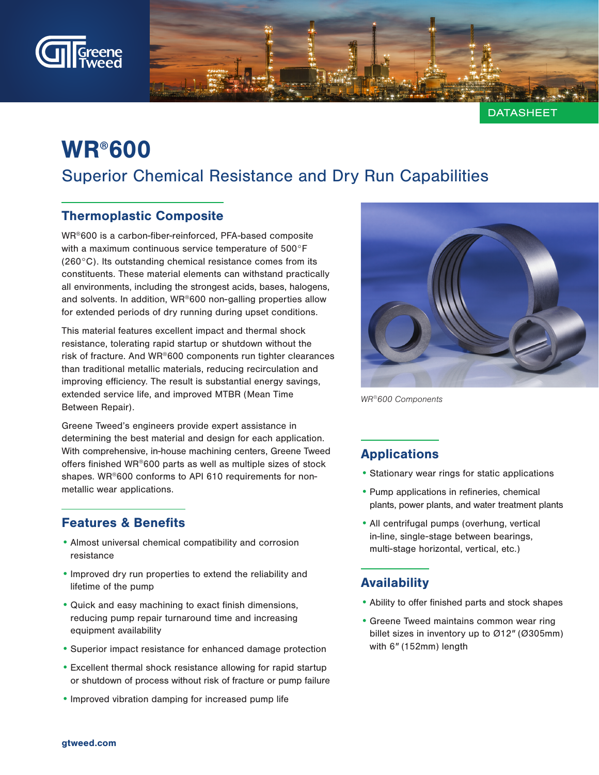

**DATASHEET** 

# WR®600 Superior Chemical Resistance and Dry Run Capabilities

## Thermoplastic Composite

WR®600 is a carbon-fiber-reinforced, PFA-based composite with a maximum continuous service temperature of 500°F (260°C). Its outstanding chemical resistance comes from its constituents. These material elements can withstand practically all environments, including the strongest acids, bases, halogens, and solvents. In addition, WR®600 non-galling properties allow for extended periods of dry running during upset conditions.

This material features excellent impact and thermal shock resistance, tolerating rapid startup or shutdown without the risk of fracture. And WR®600 components run tighter clearances than traditional metallic materials, reducing recirculation and improving efficiency. The result is substantial energy savings, extended service life, and improved MTBR (Mean Time Between Repair).

Greene Tweed's engineers provide expert assistance in determining the best material and design for each application. With comprehensive, in-house machining centers, Greene Tweed offers finished WR®600 parts as well as multiple sizes of stock shapes. WR®600 conforms to API 610 requirements for nonmetallic wear applications.

## Features & Benefits

- •Almost universal chemical compatibility and corrosion resistance
- •Improved dry run properties to extend the reliability and lifetime of the pump
- Quick and easy machining to exact finish dimensions, reducing pump repair turnaround time and increasing equipment availability
- •Superior impact resistance for enhanced damage protection
- •Excellent thermal shock resistance allowing for rapid startup or shutdown of process without risk of fracture or pump failure
- •Improved vibration damping for increased pump life



WR®600 Components

## **Applications**

- •Stationary wear rings for static applications
- Pump applications in refineries, chemical plants, power plants, and water treatment plants
- All centrifugal pumps (overhung, vertical in-line, single-stage between bearings, multi-stage horizontal, vertical, etc.)

# **Availability**

- •Ability to offer finished parts and stock shapes
- Greene Tweed maintains common wear ring billet sizes in inventory up to Ø12*"* (Ø305mm) with 6*"* (152mm) length